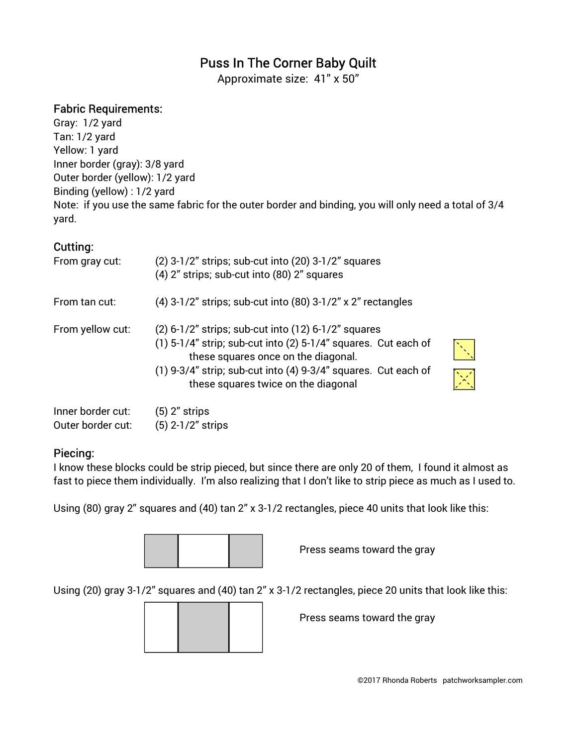## Puss In The Corner Baby Quilt

Approximate size: 41" x 50"

## Fabric Requirements:

Gray: 1/2 yard Tan: 1/2 yard Yellow: 1 yard Inner border (gray): 3/8 yard Outer border (yellow): 1/2 yard Binding (yellow) : 1/2 yard Note: if you use the same fabric for the outer border and binding, you will only need a total of 3/4 yard.

## Cutting:

| From gray cut:    | $(2)$ 3-1/2" strips; sub-cut into $(20)$ 3-1/2" squares<br>(4) 2" strips; sub-cut into (80) 2" squares                                                                                                                                                                  |                              |
|-------------------|-------------------------------------------------------------------------------------------------------------------------------------------------------------------------------------------------------------------------------------------------------------------------|------------------------------|
| From tan cut:     | (4) 3-1/2" strips; sub-cut into (80) 3-1/2" x 2" rectangles                                                                                                                                                                                                             |                              |
| From yellow cut:  | (2) 6-1/2" strips; sub-cut into (12) 6-1/2" squares<br>$(1)$ 5-1/4" strip; sub-cut into (2) 5-1/4" squares. Cut each of<br>these squares once on the diagonal.<br>(1) 9-3/4" strip; sub-cut into (4) 9-3/4" squares. Cut each of<br>these squares twice on the diagonal | $\left  \frac{1}{2} \right $ |
| Inner horder cut- | 「 「 ) ?" ctrine                                                                                                                                                                                                                                                         |                              |

| Inner border cut: | $(5)$ 2" strips     |
|-------------------|---------------------|
| Outer border cut: | $(5)$ 2-1/2" strips |

## Piecing:

I know these blocks could be strip pieced, but since there are only 20 of them, I found it almost as fast to piece them individually. I'm also realizing that I don't like to strip piece as much as I used to.

Using (80) gray 2" squares and (40) tan 2" x 3-1/2 rectangles, piece 40 units that look like this:



Press seams toward the gray

Using (20) gray 3-1/2" squares and (40) tan 2" x 3-1/2 rectangles, piece 20 units that look like this:

Press seams toward the gray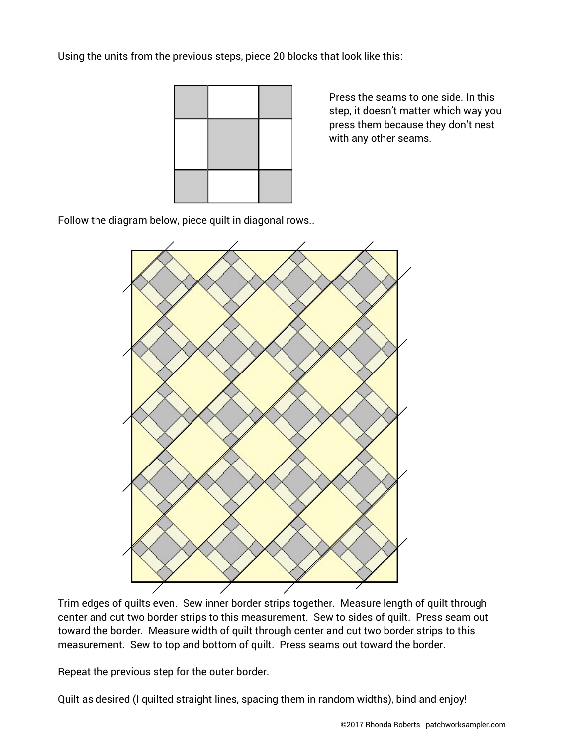Using the units from the previous steps, piece 20 blocks that look like this:



 Press the seams to one side. In this step, it doesn't matter which way you press them because they don't nest with any other seams.

Follow the diagram below, piece quilt in diagonal rows..



Trim edges of quilts even. Sew inner border strips together. Measure length of quilt through center and cut two border strips to this measurement. Sew to sides of quilt. Press seam out toward the border. Measure width of quilt through center and cut two border strips to this measurement. Sew to top and bottom of quilt. Press seams out toward the border.

Repeat the previous step for the outer border.

Quilt as desired (I quilted straight lines, spacing them in random widths), bind and enjoy!